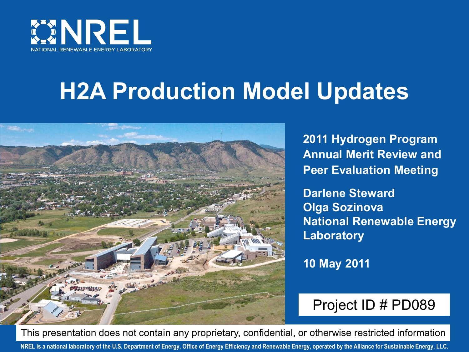

# **H2A Production Model Updates**



**2011 Hydrogen Program Annual Merit Review and Peer Evaluation Meeting**

**Darlene Steward Olga Sozinova National Renewable Energy Laboratory**

**10 May 2011**

### Project ID # PD089

This presentation does not contain any proprietary, confidential, or otherwise restricted information

**NREL is a national laboratory of the U.S. Department of Energy, Office of Energy Efficiency and Renewable Energy, operated by the Alliance for Sustainable Energy, LLC.**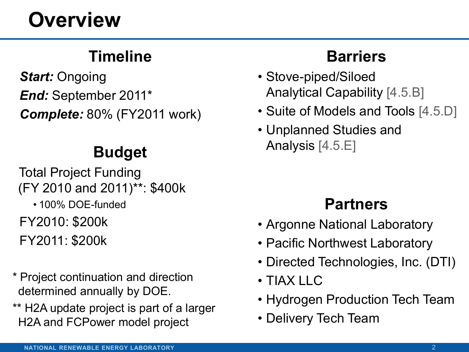# **Overview**

# **Timeline**

*Start:* Ongoing *End:* September 2011\* *Complete:* 80% (FY2011 work)

# **Budget**

Total Project Funding (FY 2010 and 2011)\*\*: \$400k

- 100% DOE-funded
- FY2010: \$200k
- FY2011: \$200k
- \* Project continuation and direction determined annually by DOE.
- \*\* H2A update project is part of a larger H2A and FCPower model project

# **Barriers**

- Stove-piped/Siloed Analytical Capability [4.5.B]
- Suite of Models and Tools [4.5.D]
- Unplanned Studies and Analysis [4.5.E]

# **Partners**

- Argonne National Laboratory
- Pacific Northwest Laboratory
- Directed Technologies, Inc. (DTI)
- TIAX LLC
- Hydrogen Production Tech Team
- Delivery Tech Team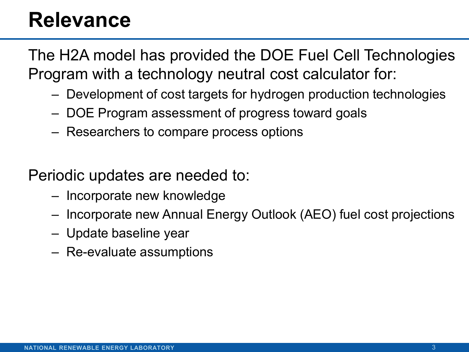# **Relevance**

The H2A model has provided the DOE Fuel Cell Technologies Program with a technology neutral cost calculator for:

- Development of cost targets for hydrogen production technologies
- DOE Program assessment of progress toward goals
- Researchers to compare process options

Periodic updates are needed to:

- Incorporate new knowledge
- Incorporate new Annual Energy Outlook (AEO) fuel cost projections
- Update baseline year
- Re-evaluate assumptions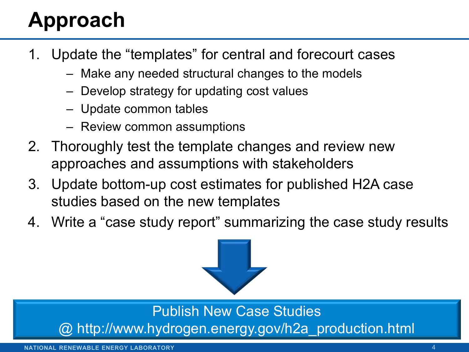# **Approach**

- 1. Update the "templates" for central and forecourt cases
	- Make any needed structural changes to the models
	- Develop strategy for updating cost values
	- Update common tables
	- Review common assumptions
- 2. Thoroughly test the template changes and review new approaches and assumptions with stakeholders
- 3. Update bottom-up cost estimates for published H2A case studies based on the new templates
- 4. Write a "case study report" summarizing the case study results



Publish New Case Studies

[@ http://www.hydrogen.energy.gov/h2a\\_production.html](http://www.hydrogen.energy.gov/h2a_production.html)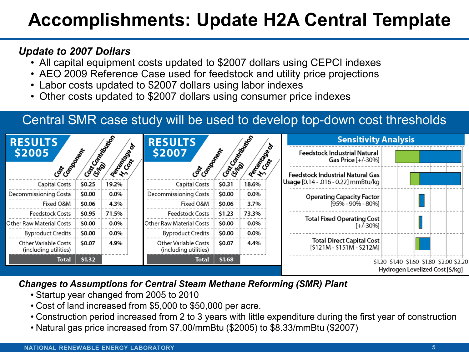# **Accomplishments: Update H2A Central Template**

### *Update to 2007 Dollars*

- All capital equipment costs updated to \$2007 dollars using CEPCI indexes
- AEO 2009 Reference Case used for feedstock and utility price projections
- Labor costs updated to \$2007 dollars using labor indexes
- Other costs updated to \$2007 dollars using consumer price indexes

### Central SMR case study will be used to develop top-down cost thresholds

| Castrophical Manuel<br><b>RESULTS</b>         |        | Cast Contractor<br><b>RESULTS</b> |  |                                               | <b>Sensitivity Analysis</b> |                |                                                               |  |  |                                 |  |                                           |
|-----------------------------------------------|--------|-----------------------------------|--|-----------------------------------------------|-----------------------------|----------------|---------------------------------------------------------------|--|--|---------------------------------|--|-------------------------------------------|
| Cor contractive<br>\$2005                     |        | Recited Back                      |  | <b>GST DOORWATER</b><br>\$2007                |                             | Reconstruction | <b>Feedstock Industrial Natural</b><br>Gas Price [+/-30%]     |  |  |                                 |  |                                           |
|                                               |        |                                   |  |                                               |                             |                | <b>Feedstock Industrial Natural Gas</b>                       |  |  |                                 |  |                                           |
| Capital Costs                                 | \$0.25 | 19.2%                             |  | Capital Costs                                 | \$0.31                      | 18.6%          | Usage [0.14 - .016 - 0.22] mmBtu/kg                           |  |  |                                 |  |                                           |
| Decommissioning Costa                         | \$0.00 | $0.0\%$                           |  | Decommissioning Costs                         | \$0.00                      | $0.0\%$        | <b>Operating Capacity Factor</b>                              |  |  |                                 |  |                                           |
| Fixed O&M                                     | \$0.06 | 4.3%                              |  | Fixed O&M                                     | \$0.06                      | 3.7%           | $[95\% - 90\% - 80\%]$                                        |  |  |                                 |  |                                           |
| <b>Feedstock Costs</b>                        | \$0.95 | 71.5%                             |  | <b>Feedstock Costs</b>                        | \$1.23                      | 73.3%          |                                                               |  |  |                                 |  |                                           |
| Other Raw Material Costs                      | \$0.00 | $0.0\%$                           |  | Other Raw Material Costs                      | \$0.00                      | $0.0\%$        | <b>Total Fixed Operating Cost</b><br>$[+/30\%]$               |  |  |                                 |  |                                           |
| <b>Byproduct Credits</b>                      | \$0.00 | $0.0\%$                           |  | <b>Byproduct Credits</b>                      | \$0.00                      | $0.0\%$        |                                                               |  |  |                                 |  |                                           |
| Other Variable Costs<br>(including utilities) | \$0.07 | 4.9%                              |  | Other Variable Costs<br>(including utilities) | \$0.07                      | 4.4%           | <b>Total Direct Capital Cost</b><br>$[$121M - $151M - $212M]$ |  |  |                                 |  |                                           |
| <b>Total</b>                                  | \$1.32 |                                   |  | <b>Total</b>                                  | \$1.68                      |                |                                                               |  |  |                                 |  | \$1.20 \$1.40 \$1.60 \$1.80 \$2.00 \$2.20 |
|                                               |        |                                   |  |                                               |                             |                |                                                               |  |  | Hydrogen Levelized Cost [\$/kg] |  |                                           |

### *Changes to Assumptions for Central Steam Methane Reforming (SMR) Plant*

- Startup year changed from 2005 to 2010
- Cost of land increased from \$5,000 to \$50,000 per acre.
- Construction period increased from 2 to 3 years with little expenditure during the first year of construction
- Natural gas price increased from \$7.00/mmBtu (\$2005) to \$8.33/mmBtu (\$2007)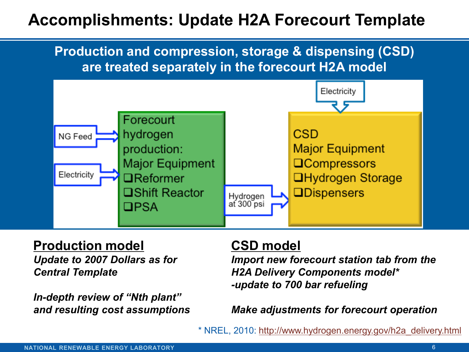# **Accomplishments: Update H2A Forecourt Template**



# **Production model**

*Update to 2007 Dollars as for Central Template*

*In-depth review of "Nth plant" and resulting cost assumptions*

### **CSD model**

*Import new forecourt station tab from the H2A Delivery Components model\* -update to 700 bar refueling*

*Make adjustments for forecourt operation*

\* NREL, 2010: [http://www.hydrogen.energy.gov/h2a\\_delivery.html](http://www.hydrogen.energy.gov/h2a_delivery.html)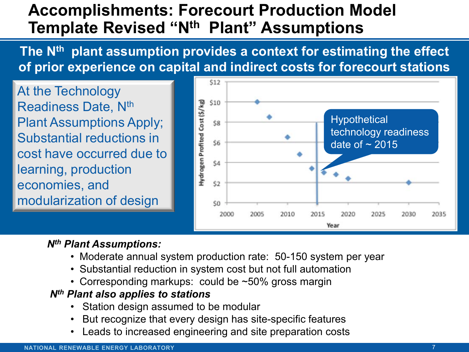# **Accomplishments: Forecourt Production Model Template Revised "Nth Plant" Assumptions**

**The Nth plant assumption provides a context for estimating the effect of prior experience on capital and indirect costs for forecourt stations** 

At the Technology Readiness Date, N<sup>th</sup> Plant Assumptions Apply; Substantial reductions in cost have occurred due to learning, production economies, and modularization of design



### *Nth Plant Assumptions:*

- Moderate annual system production rate: 50-150 system per year
- Substantial reduction in system cost but not full automation
- Corresponding markups: could be ~50% gross margin

### *Nth Plant also applies to stations*

- Station design assumed to be modular
- But recognize that every design has site-specific features
- Leads to increased engineering and site preparation costs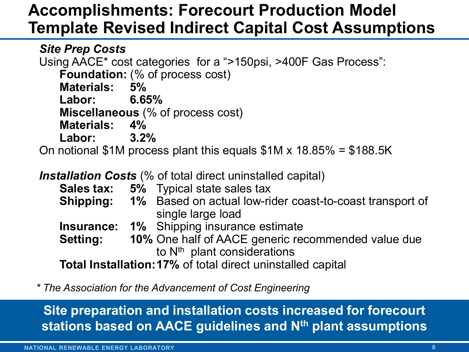## **Accomplishments: Forecourt Production Model Template Revised Indirect Capital Cost Assumptions**

*Site Prep Costs* Using AACE\* cost categories for a ">150psi, >400F Gas Process": **Foundation:** (% of process cost) **Materials: 5% Labor: 6.65% Miscellaneous** (% of process cost) **Materials: 4% Labor: 3.2%** 

On notional \$1M process plant this equals  $$1M \times 18.85\% = $188.5K$ 

**Installation Costs** (% of total direct uninstalled capital)

**Sales tax: 5%** Typical state sales tax **Shipping: 1%** Based on actual low-rider coast-to-coast transport of single large load **Insurance: 1%** Shipping insurance estimate **Setting: 10%** One half of AACE generic recommended value due to  $N<sup>th</sup>$  plant considerations

**Total Installation:17%** of total direct uninstalled capital

*\* The Association for the Advancement of Cost Engineering*

**Site preparation and installation costs increased for forecourt stations based on AACE guidelines and Nth plant assumptions**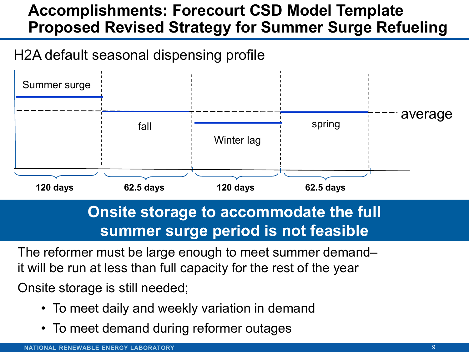## **Accomplishments: Forecourt CSD Model Template Proposed Revised Strategy for Summer Surge Refueling**

### H2A default seasonal dispensing profile



## **Onsite storage to accommodate the full summer surge period is not feasible**

The reformer must be large enough to meet summer demand– it will be run at less than full capacity for the rest of the year Onsite storage is still needed;

- To meet daily and weekly variation in demand
- To meet demand during reformer outages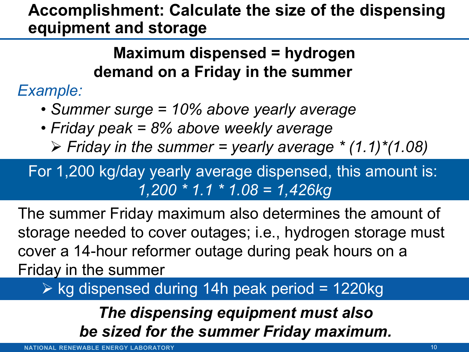# **Accomplishment: Calculate the size of the dispensing equipment and storage**

# **Maximum dispensed = hydrogen demand on a Friday in the summer**

*Example:*

- *Summer surge = 10% above yearly average*
- *Friday peak = 8% above weekly average*
	- $\triangleright$  Friday in the summer = yearly average  $*(1.1)^*(1.08)$

For 1,200 kg/day yearly average dispensed, this amount is: *1,200 \* 1.1 \* 1.08 = 1,426kg* 

The summer Friday maximum also determines the amount of storage needed to cover outages; i.e., hydrogen storage must cover a 14-hour reformer outage during peak hours on a Friday in the summer

 $\triangleright$  kg dispensed during 14h peak period = 1220kg

*The dispensing equipment must also be sized for the summer Friday maximum.*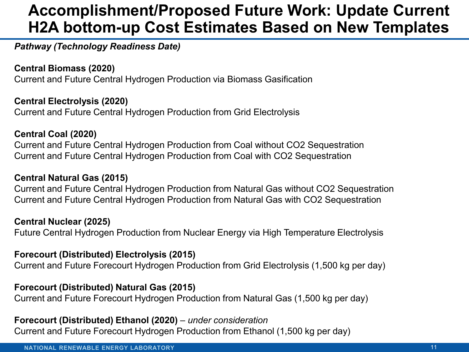### **Accomplishment/Proposed Future Work: Update Current H2A bottom-up Cost Estimates Based on New Templates**

### *Pathway (Technology Readiness Date)*

### **Central Biomass (2020)**

Current and Future Central Hydrogen Production via Biomass Gasification

### **Central Electrolysis (2020)**

Current and Future Central Hydrogen Production from Grid Electrolysis

### **Central Coal (2020)**

Current and Future Central Hydrogen Production from Coal without CO2 Sequestration Current and Future Central Hydrogen Production from Coal with CO2 Sequestration

### **Central Natural Gas (2015)**

Current and Future Central Hydrogen Production from Natural Gas without CO2 Sequestration Current and Future Central Hydrogen Production from Natural Gas with CO2 Sequestration

#### **Central Nuclear (2025)**

Future Central Hydrogen Production from Nuclear Energy via High Temperature Electrolysis

#### **Forecourt (Distributed) Electrolysis (2015)**

Current and Future Forecourt Hydrogen Production from Grid Electrolysis (1,500 kg per day)

### **Forecourt (Distributed) Natural Gas (2015)**

Current and Future Forecourt Hydrogen Production from Natural Gas (1,500 kg per day)

### **Forecourt (Distributed) Ethanol (2020)** *– under consideration*

Current and Future Forecourt Hydrogen Production from Ethanol (1,500 kg per day)

#### **NATIONAL RENEWABLE ENERGY LABORATORY**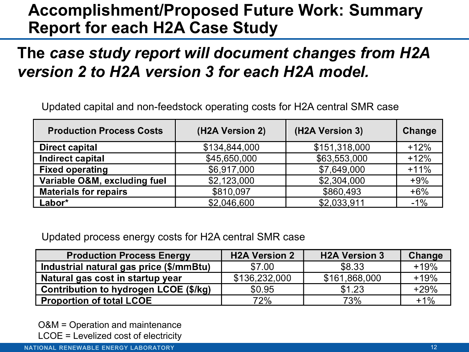# **Accomplishment/Proposed Future Work: Summary Report for each H2A Case Study**

# **The** *case study report will document changes from H2A version 2 to H2A version 3 for each H2A model.*

Updated capital and non-feedstock operating costs for H2A central SMR case

| <b>Production Process Costs</b> | (H2A Version 2) | (H2A Version 3) | Change |
|---------------------------------|-----------------|-----------------|--------|
| Direct capital                  | \$134,844,000   | \$151,318,000   | $+12%$ |
| Indirect capital                | \$45,650,000    | \$63,553,000    | $+12%$ |
| <b>Fixed operating</b>          | \$6,917,000     | \$7,649,000     | $+11%$ |
| Variable O&M, excluding fuel    | \$2,123,000     | \$2,304,000     | $+9%$  |
| <b>Materials for repairs</b>    | \$810,097       | \$860,493       | $+6%$  |
| Labor*                          | \$2,046,600     | \$2,033,911     | $-1%$  |

Updated process energy costs for H2A central SMR case

| <b>Production Process Energy</b>        | <b>H2A Version 2</b> | <b>H2A Version 3</b> | Change |
|-----------------------------------------|----------------------|----------------------|--------|
| Industrial natural gas price (\$/mmBtu) | \$7.00               | \$8.33               | $+19%$ |
| Natural gas cost in startup year        | \$136,232,000        | \$161,868,000        | $+19%$ |
| Contribution to hydrogen LCOE (\$/kg)   | \$0.95               | \$1.23               | $+29%$ |
| <b>Proportion of total LCOE</b>         | 72%                  | 73%                  | $+1\%$ |

O&M = Operation and maintenance LCOE = Levelized cost of electricity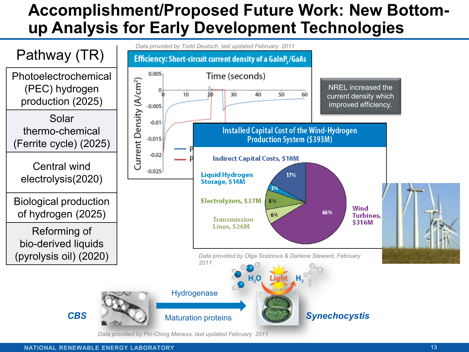# **Accomplishment/Proposed Future Work: New Bottomup Analysis for Early Development Technologies**